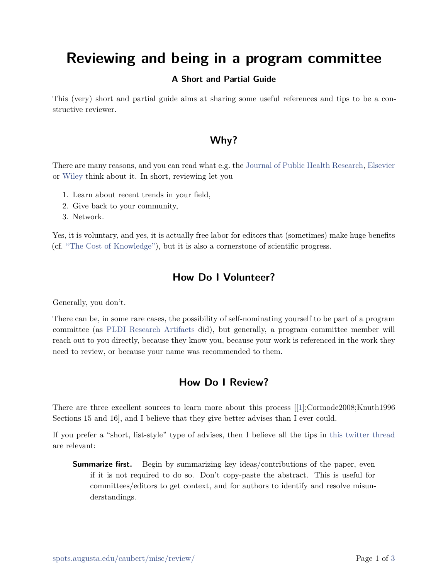# <span id="page-0-0"></span>**Reviewing and being in a program committee**

#### **A Short and Partial Guide**

This (very) short and partial guide aims at sharing some useful references and tips to be a constructive reviewer.

### **Why?**

There are many reasons, and you can read what e.g. the [Journal of Public Health Research](https://www.jphres.org/index.php/jphres/benefit_r), [Elsevier](https://www.elsevier.com/reviewers/role) or [Wiley](https://www.wiley.com/network/researchers/being-a-peer-reviewer/why-do-reviewers-review) think about it. In short, reviewing let you

- 1. Learn about recent trends in your field,
- 2. Give back to your community,
- 3. Network.

Yes, it is voluntary, and yes, it is actually free labor for editors that (sometimes) make huge benefits (cf. ["The Cost of Knowledge"](http://thecostofknowledge.com/)), but it is also a cornerstone of scientific progress.

#### **How Do I Volunteer?**

Generally, you don't.

There can be, in some rare cases, the possibility of self-nominating yourself to be part of a program committee (as [PLDI Research Artifacts](https://pldi22.sigplan.org/track/pldi-2022-PLDI-Research-Artifacts#Info-for-Reviewers) did), but generally, a program committee member will reach out to you directly, because they know you, because your work is referenced in the work they need to review, or because your name was recommended to them.

#### **How Do I Review?**

There are three excellent sources to learn more about this process [[\[1\]](#page-2-0);Cormode2008;Knuth1996 Sections 15 and 16], and I believe that they give better advises than I ever could.

If you prefer a "short, list-style" type of advises, then I believe all the tips in [this twitter thread](https://twitter.com/nmwsharp/status/1491528553766305801) are relevant:

**Summarize first.** Begin by summarizing key ideas/contributions of the paper, even if it is not required to do so. Don't copy-paste the abstract. This is useful for committees/editors to get context, and for authors to identify and resolve misunderstandings.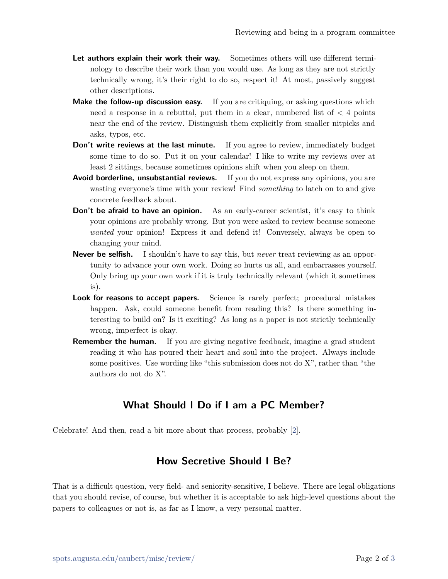- Let authors explain their work their way. Sometimes others will use different terminology to describe their work than you would use. As long as they are not strictly technically wrong, it's their right to do so, respect it! At most, passively suggest other descriptions.
- **Make the follow-up discussion easy.** If you are critiquing, or asking questions which need a response in a rebuttal, put them in a clear, numbered list of  $\lt 4$  points near the end of the review. Distinguish them explicitly from smaller nitpicks and asks, typos, etc.
- **Don't write reviews at the last minute.** If you agree to review, immediately budget some time to do so. Put it on your calendar! I like to write my reviews over at least 2 sittings, because sometimes opinions shift when you sleep on them.
- **Avoid borderline, unsubstantial reviews.** If you do not express any opinions, you are wasting everyone's time with your review! Find *something* to latch on to and give concrete feedback about.
- **Don't be afraid to have an opinion.** As an early-career scientist, it's easy to think your opinions are probably wrong. But you were asked to review because someone *wanted* your opinion! Express it and defend it! Conversely, always be open to changing your mind.
- **Never be selfish.** I shouldn't have to say this, but *never* treat reviewing as an opportunity to advance your own work. Doing so hurts us all, and embarrasses yourself. Only bring up your own work if it is truly technically relevant (which it sometimes is).
- **Look for reasons to accept papers.** Science is rarely perfect; procedural mistakes happen. Ask, could someone benefit from reading this? Is there something interesting to build on? Is it exciting? As long as a paper is not strictly technically wrong, imperfect is okay.
- **Remember the human.** If you are giving negative feedback, imagine a grad student reading it who has poured their heart and soul into the project. Always include some positives. Use wording like "this submission does not do X", rather than "the authors do not do X".

### **What Should I Do if I am a PC Member?**

Celebrate! And then, read a bit more about that process, probably [[2](#page-2-2)].

#### **How Secretive Should I Be?**

That is a difficult question, very field- and seniority-sensitive, I believe. There are legal obligations that you should revise, of course, but whether it is acceptable to ask high-level questions about the papers to colleagues or not is, as far as I know, a very personal matter.